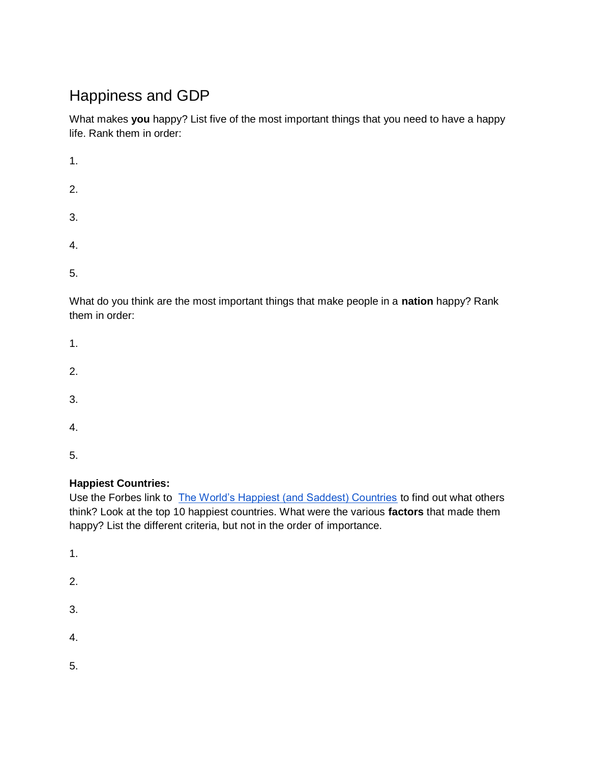# Happiness and GDP

What makes **you** happy? List five of the most important things that you need to have a happy life. Rank them in order:

| 1. |  |  |
|----|--|--|
| 2. |  |  |
| 3. |  |  |
| 4. |  |  |
| 5. |  |  |

What do you think are the most important things that make people in a **nation** happy? Rank them in order:

| 1.               |  |  |
|------------------|--|--|
| $\overline{2}$ . |  |  |
| 3.               |  |  |
| 4.               |  |  |

5.

### **Happiest Countries:**

Use the Forbes link to [The World's Happiest \(and Saddest\) Countries](https://www.forbes.com/pictures/mef45ejmi/the-worlds-happiest-and-saddest-countries-2/#3c2f42ea5ef8) to find out what others think? Look at the top 10 happiest countries. What were the various **factors** that made them happy? List the different criteria, but not in the order of importance.

1. 2. 3. 4. 5.